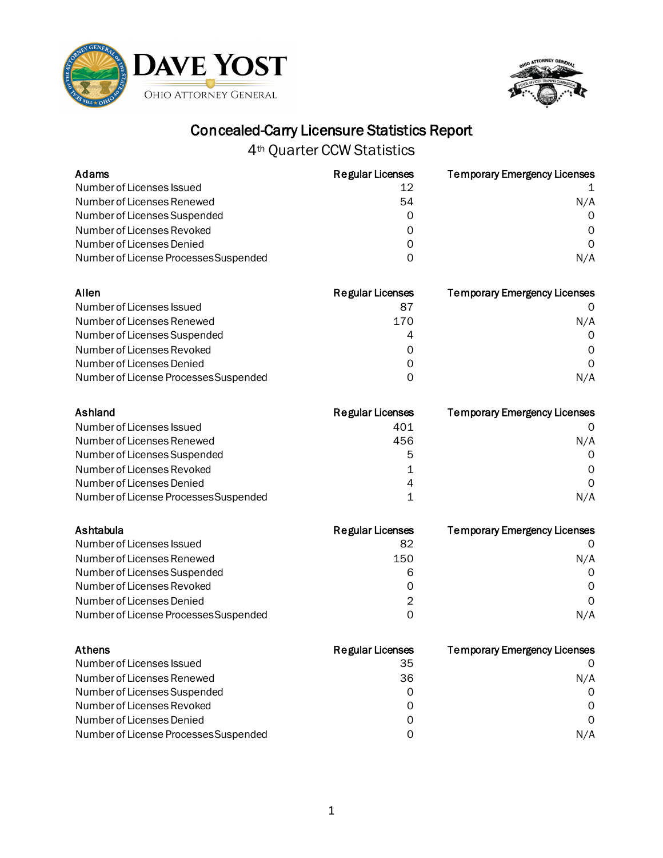



| Adams                                 | <b>Regular Licenses</b> | <b>Temporary Emergency Licenses</b> |
|---------------------------------------|-------------------------|-------------------------------------|
| Number of Licenses Issued             | 12                      |                                     |
| Number of Licenses Renewed            | 54                      | N/A                                 |
| Number of Licenses Suspended          | 0                       | 0                                   |
| Number of Licenses Revoked            | 0                       | 0                                   |
| Number of Licenses Denied             | 0                       | $\mathsf{O}$                        |
| Number of License Processes Suspended | 0                       | N/A                                 |
| Allen                                 | <b>Regular Licenses</b> | <b>Temporary Emergency Licenses</b> |
| Number of Licenses Issued             | 87                      | O                                   |
| Number of Licenses Renewed            | 170                     | N/A                                 |
| Number of Licenses Suspended          | 4                       | 0                                   |
| Number of Licenses Revoked            | 0                       | $\Omega$                            |
| Number of Licenses Denied             | 0                       | $\Omega$                            |
| Number of License Processes Suspended | 0                       | N/A                                 |
| Ashland                               | <b>Regular Licenses</b> | <b>Temporary Emergency Licenses</b> |
| Number of Licenses Issued             | 401                     | 0                                   |
| Number of Licenses Renewed            | 456                     | N/A                                 |
| Number of Licenses Suspended          | 5                       | 0                                   |
| Number of Licenses Revoked            | 1                       | 0                                   |
| Number of Licenses Denied             | 4                       | $\Omega$                            |
| Number of License Processes Suspended | 1                       | N/A                                 |
| Ashtabula                             | <b>Regular Licenses</b> | <b>Temporary Emergency Licenses</b> |
| Number of Licenses Issued             | 82                      | 0                                   |
| Number of Licenses Renewed            | 150                     | N/A                                 |
| Number of Licenses Suspended          | 6                       | 0                                   |
| Number of Licenses Revoked            | 0                       | 0                                   |
| Number of Licenses Denied             | 2                       | $\Omega$                            |
| Number of License Processes Suspended | $\mathbf 0$             | N/A                                 |
| Athens                                | <b>Regular Licenses</b> | <b>Temporary Emergency Licenses</b> |
| Number of Licenses Issued             | 35                      | 0                                   |
| Number of Licenses Renewed            | 36                      | N/A                                 |
| Number of Licenses Suspended          | $\mathbf 0$             | 0                                   |
| Number of Licenses Revoked            | 0                       | 0                                   |
| Number of Licenses Denied             | 0                       | 0                                   |
| Number of License Processes Suspended | 0                       | N/A                                 |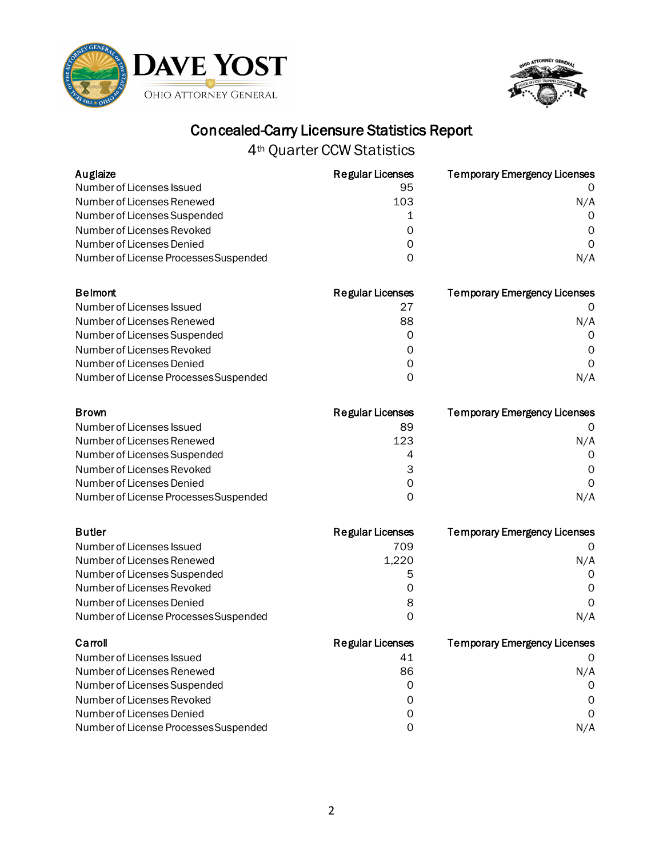



| Auglaize                              | <b>Regular Licenses</b> | <b>Temporary Emergency Licenses</b> |
|---------------------------------------|-------------------------|-------------------------------------|
| Number of Licenses Issued             | 95                      |                                     |
| Number of Licenses Renewed            | 103                     | N/A                                 |
| Number of Licenses Suspended          | 1                       | 0                                   |
| Number of Licenses Revoked            | 0                       | 0                                   |
| Number of Licenses Denied             | 0                       | $\Omega$                            |
| Number of License Processes Suspended | 0                       | N/A                                 |
| <b>Belmont</b>                        | <b>Regular Licenses</b> | <b>Temporary Emergency Licenses</b> |
| Number of Licenses Issued             | 27                      | Ő                                   |
| Number of Licenses Renewed            | 88                      | N/A                                 |
| Number of Licenses Suspended          | 0                       | $\Omega$                            |
| Number of Licenses Revoked            | 0                       | $\Omega$                            |
| Number of Licenses Denied             | 0                       | $\Omega$                            |
| Number of License Processes Suspended | 0                       | N/A                                 |
| <b>Brown</b>                          | <b>Regular Licenses</b> | <b>Temporary Emergency Licenses</b> |
| Number of Licenses Issued             | 89                      | 0                                   |
| Number of Licenses Renewed            | 123                     | N/A                                 |
| Number of Licenses Suspended          | 4                       | 0                                   |
| Number of Licenses Revoked            | 3                       | 0                                   |
| Number of Licenses Denied             | $\mathsf{O}\xspace$     | 0                                   |
| Number of License Processes Suspended | 0                       | N/A                                 |
| <b>Butler</b>                         | <b>Regular Licenses</b> | <b>Temporary Emergency Licenses</b> |
| Number of Licenses Issued             | 709                     | 0                                   |
| Number of Licenses Renewed            | 1,220                   | N/A                                 |
| Number of Licenses Suspended          | 5                       | 0                                   |
| Number of Licenses Revoked            | 0                       | 0                                   |
| Number of Licenses Denied             | 8                       | 0                                   |
| Number of License Processes Suspended | 0                       | N/A                                 |
| Carroll                               | <b>Regular Licenses</b> | <b>Temporary Emergency Licenses</b> |
| Number of Licenses Issued             | 41                      | 0                                   |
| Number of Licenses Renewed            | 86                      | N/A                                 |
| Number of Licenses Suspended          | 0                       | 0                                   |
| Number of Licenses Revoked            | 0                       | O                                   |
| Number of Licenses Denied             | 0                       | $\Omega$                            |
| Number of License Processes Suspended | 0                       | N/A                                 |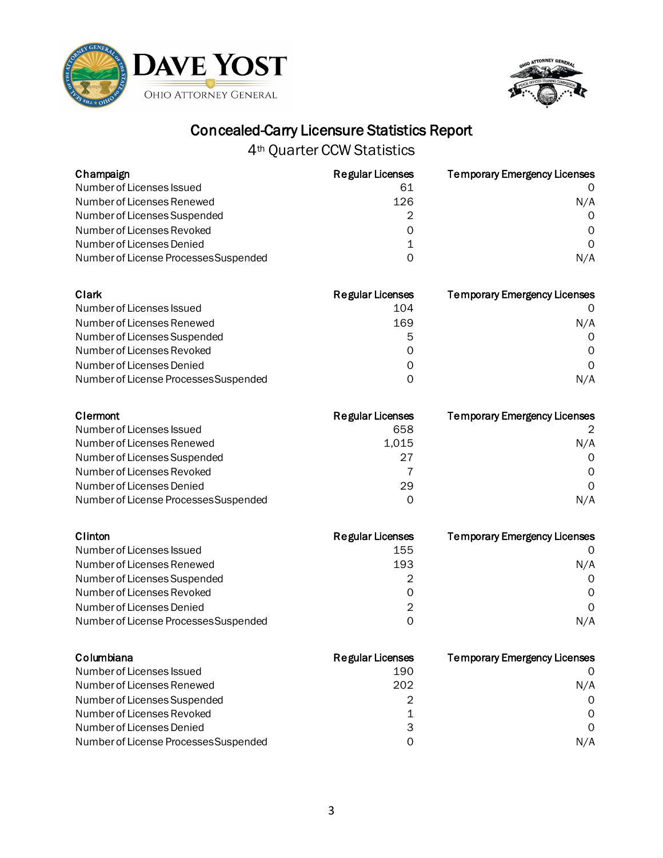



4th Quarter CCW Statistics

| Champaign                             | <b>Regular Licenses</b> | <b>Temporary Emergency Licenses</b> |
|---------------------------------------|-------------------------|-------------------------------------|
| Number of Licenses Issued             | 61                      | 0                                   |
| Number of Licenses Renewed            | 126                     | N/A                                 |
| Number of Licenses Suspended          | 2                       | $\Omega$                            |
| Number of Licenses Revoked            | 0                       | 0                                   |
| Number of Licenses Denied             | 1                       | 0                                   |
| Number of License Processes Suspended | $\Omega$                | N/A                                 |
| Clark                                 | <b>Regular Licenses</b> | <b>Temporary Emergency Licenses</b> |
| Number of Licenses Issued             | 104                     | 0                                   |
| Number of Licenses Renewed            | 169                     | N/A                                 |
| Number of Licenses Suspended          | 5                       | $\Omega$                            |
| Number of Licenses Revoked            | 0                       | 0                                   |
| Number of Licenses Denied             | 0                       | $\Omega$                            |
| Number of License Processes Suspended | 0                       | N/A                                 |
| Clermont                              | <b>Regular Licenses</b> | <b>Temporary Emergency Licenses</b> |
| Number of Licenses Issued             | 658                     | 2                                   |
| Number of Licenses Renewed            | 1,015                   | N/A                                 |
| Number of Licenses Suspended          | 27                      | 0                                   |
| Number of Licenses Revoked            | 7                       | $\Omega$                            |
| Number of Licenses Denied             | 29                      | $\Omega$                            |
| Number of License Processes Suspended | 0                       | N/A                                 |
| Clinton                               | <b>Regular Licenses</b> | <b>Temporary Emergency Licenses</b> |
| Number of Licenses Issued             | 155                     | 0                                   |
| Number of Licenses Renewed            | 193                     | N/A                                 |
| Number of Licenses Suspended          | 2                       | 0                                   |
| Number of Licenses Revoked            | $\mathbf 0$             | 0                                   |
| Number of Licenses Denied             | $\overline{2}$          | $\mathbf 0$                         |

| Columbiana                            | <b>Regular Licenses</b> | <b>Temporary Emergency Licenses</b> |
|---------------------------------------|-------------------------|-------------------------------------|
| Number of Licenses Issued             | 190                     |                                     |
| Number of Licenses Renewed            | 202                     | N/A                                 |
| Number of Licenses Suspended          | 2                       | $\Omega$                            |
| Number of Licenses Revoked            |                         | $\Omega$                            |
| Number of Licenses Denied             | 3                       | $\Omega$                            |
| Number of License Processes Suspended | O                       | N/A                                 |

Number of License Processes Suspended 0 0 0 0 0 0 N/A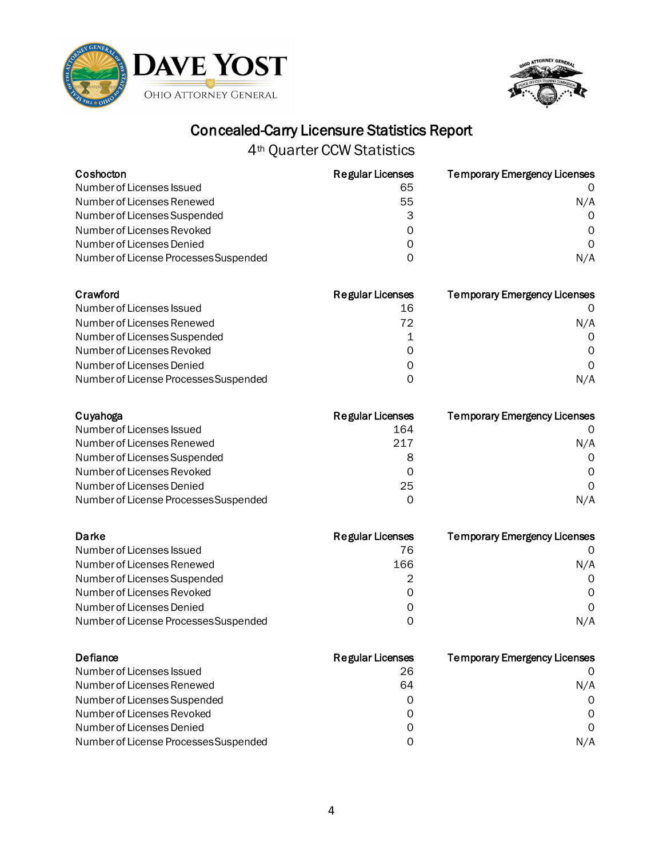



| Coshocton                             | <b>Regular Licenses</b> | <b>Temporary Emergency Licenses</b> |
|---------------------------------------|-------------------------|-------------------------------------|
| Number of Licenses Issued             | 65                      |                                     |
| Number of Licenses Renewed            | 55                      | N/A                                 |
| Number of Licenses Suspended          | 3                       | $\Omega$                            |
| Number of Licenses Revoked            | 0                       | $\Omega$                            |
| Number of Licenses Denied             | 0                       | $\Omega$                            |
| Number of License Processes Suspended | 0                       | N/A                                 |

| Crawford                              | <b>Regular Licenses</b> | <b>Temporary Emergency Licenses</b> |
|---------------------------------------|-------------------------|-------------------------------------|
| Number of Licenses Issued             | 16                      |                                     |
| Number of Licenses Renewed            | 72                      | N/A                                 |
| Number of Licenses Suspended          |                         | $\Omega$                            |
| Number of Licenses Revoked            | 0                       | $\Omega$                            |
| Number of Licenses Denied             | Ω                       | $\Omega$                            |
| Number of License Processes Suspended | O                       | N/A                                 |

| Cuyahoga                              | Regular Licenses | <b>Temporary Emergency Licenses</b> |
|---------------------------------------|------------------|-------------------------------------|
| Number of Licenses Issued             | 164              |                                     |
| Number of Licenses Renewed            | 217              | N/A                                 |
| Number of Licenses Suspended          | 8                | $\Omega$                            |
| Number of Licenses Revoked            | 0                | $\Omega$                            |
| Number of Licenses Denied             | 25               | $\Omega$                            |
| Number of License Processes Suspended | Ω                | N/A                                 |

| Darke                                 | <b>Regular Licenses</b> | <b>Temporary Emergency Licenses</b> |
|---------------------------------------|-------------------------|-------------------------------------|
| Number of Licenses Issued             | 76                      |                                     |
| Number of Licenses Renewed            | 166                     | N/A                                 |
| Number of Licenses Suspended          | 2                       | $\Omega$                            |
| Number of Licenses Revoked            | 0                       | 0                                   |
| Number of Licenses Denied             | Ω                       | $\Omega$                            |
| Number of License Processes Suspended | O                       | N/A                                 |

| Defiance                              | <b>Regular Licenses</b> | <b>Temporary Emergency Licenses</b> |
|---------------------------------------|-------------------------|-------------------------------------|
| Number of Licenses Issued             | 26                      |                                     |
| Number of Licenses Renewed            | 64                      | N/A                                 |
| Number of Licenses Suspended          | 0                       | $\Omega$                            |
| Number of Licenses Revoked            | 0                       | $\Omega$                            |
| Number of Licenses Denied             | Ω                       | $\Omega$                            |
| Number of License Processes Suspended | ი                       | N/A                                 |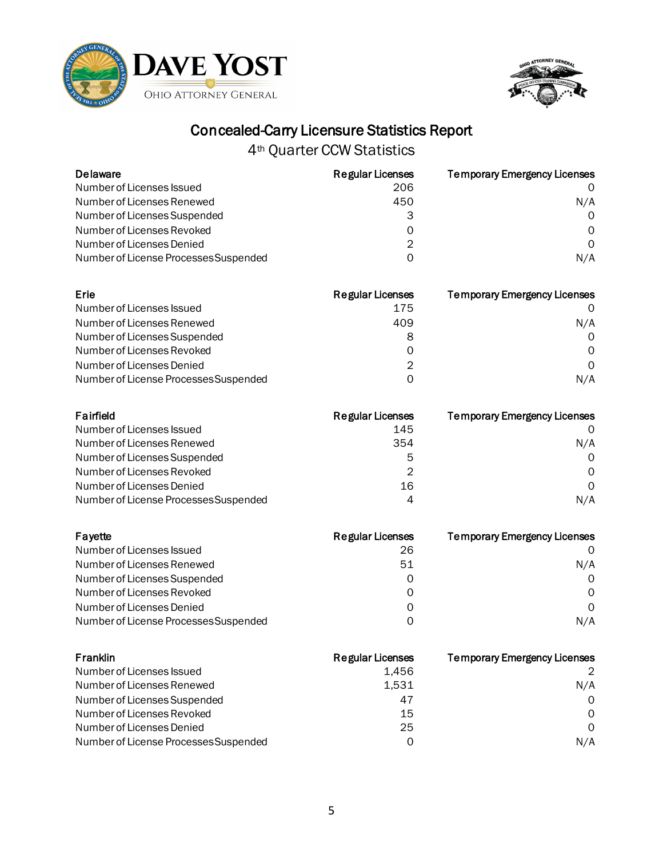



| <b>Delaware</b>                       | <b>Regular Licenses</b> | <b>Temporary Emergency Licenses</b> |
|---------------------------------------|-------------------------|-------------------------------------|
| Number of Licenses Issued             | 206                     |                                     |
| Number of Licenses Renewed            | 450                     | N/A                                 |
| Number of Licenses Suspended          | 3                       | $\Omega$                            |
| Number of Licenses Revoked            | 0                       | 0                                   |
| Number of Licenses Denied             | 2                       | 0                                   |
| Number of License Processes Suspended | 0                       | N/A                                 |
| Erie                                  | <b>Regular Licenses</b> | <b>Temporary Emergency Licenses</b> |
| Number of Licenses Issued             | 175                     |                                     |
| Number of Licenses Renewed            | 409                     | N/A                                 |
| Number of Licenses Suspended          | 8                       |                                     |

| Number of Licenses Suspended          |     |
|---------------------------------------|-----|
| Number of Licenses Revoked            |     |
| Number of Licenses Denied             |     |
| Number of License Processes Suspended | N/A |

| Fairfield                             | Regular Licenses | <b>Temporary Emergency Licenses</b> |
|---------------------------------------|------------------|-------------------------------------|
| Number of Licenses Issued             | 145              |                                     |
| Number of Licenses Renewed            | 354              | N/A                                 |
| Number of Licenses Suspended          | 5                | $\Omega$                            |
| Number of Licenses Revoked            | 2                | $\Omega$                            |
| Number of Licenses Denied             | 16               | $\Omega$                            |
| Number of License Processes Suspended | 4                | N/A                                 |

| Fayette                               | <b>Regular Licenses</b> | <b>Temporary Emergency Licenses</b> |
|---------------------------------------|-------------------------|-------------------------------------|
| Number of Licenses Issued             | 26                      |                                     |
| Number of Licenses Renewed            | 51                      | N/A                                 |
| Number of Licenses Suspended          | O                       | $\Omega$                            |
| Number of Licenses Revoked            | Ω                       | 0                                   |
| Number of Licenses Denied             | Ω                       | $\Omega$                            |
| Number of License Processes Suspended | O                       | N/A                                 |

| Franklin                              | Regular Licenses | <b>Temporary Emergency Licenses</b> |
|---------------------------------------|------------------|-------------------------------------|
| Number of Licenses Issued             | 1.456            | $\mathcal{P}$                       |
| Number of Licenses Renewed            | 1,531            | N/A                                 |
| Number of Licenses Suspended          | 47               | $\Omega$                            |
| Number of Licenses Revoked            | 15               | $\Omega$                            |
| Number of Licenses Denied             | 25               | $\Omega$                            |
| Number of License Processes Suspended | Ω                | N/A                                 |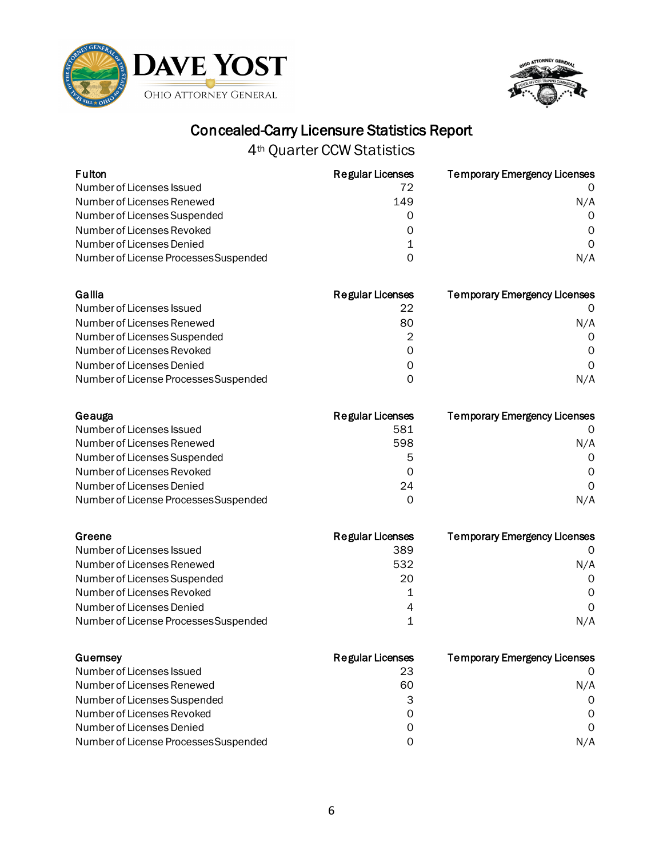



| <b>Fulton</b>                         | <b>Regular Licenses</b> | <b>Temporary Emergency Licenses</b> |
|---------------------------------------|-------------------------|-------------------------------------|
| Number of Licenses Issued             | 72                      | 0                                   |
| Number of Licenses Renewed            | 149                     | N/A                                 |
| Number of Licenses Suspended          | 0                       | 0                                   |
| Number of Licenses Revoked            | 0                       | 0                                   |
| Number of Licenses Denied             | $\mathbf 1$             | $\Omega$                            |
| Number of License Processes Suspended | $\Omega$                | N/A                                 |
| Gallia                                | <b>Regular Licenses</b> | <b>Temporary Emergency Licenses</b> |
| Number of Licenses Issued             | 22                      | O                                   |
| Number of Licenses Renewed            | 80                      | N/A                                 |
| Number of Licenses Suspended          | $\overline{2}$          | 0                                   |
| Number of Licenses Revoked            | $\overline{O}$          | 0                                   |
| Number of Licenses Denied             | 0                       | $\mathsf{O}$                        |
| Number of License Processes Suspended | 0                       | N/A                                 |
| Geauga                                | <b>Regular Licenses</b> | <b>Temporary Emergency Licenses</b> |
| Number of Licenses Issued             | 581                     | 0                                   |
| Number of Licenses Renewed            | 598                     | N/A                                 |
| Number of Licenses Suspended          | 5                       | 0                                   |
| Number of Licenses Revoked            | $\mathbf 0$             | $\Omega$                            |
| Number of Licenses Denied             | 24                      | $\mathsf{O}$                        |
| Number of License Processes Suspended | $\mathsf{O}$            | N/A                                 |
| Greene                                | <b>Regular Licenses</b> | <b>Temporary Emergency Licenses</b> |
| Number of Licenses Issued             | 389                     | 0                                   |
| Number of Licenses Renewed            | 532                     | N/A                                 |
| Number of Licenses Suspended          | 20                      | 0                                   |
| Number of Licenses Revoked            | 1                       | $\Omega$                            |
| Number of Licenses Denied             | 4                       | $\Omega$                            |
| Number of License Processes Suspended | $\mathbf{1}$            | N/A                                 |
| Guernsey                              | <b>Regular Licenses</b> | <b>Temporary Emergency Licenses</b> |
| Number of Licenses Issued             | 23                      | 0                                   |
| Number of Licenses Renewed            | 60                      | N/A                                 |

| Number of Licenses issued             | 23 |              |
|---------------------------------------|----|--------------|
| Number of Licenses Renewed            | 60 | N/A          |
| Number of Licenses Suspended          |    | 0            |
| Number of Licenses Revoked            |    | <sup>o</sup> |
| Number of Licenses Denied             |    | $\Omega$     |
| Number of License Processes Suspended |    | N/A          |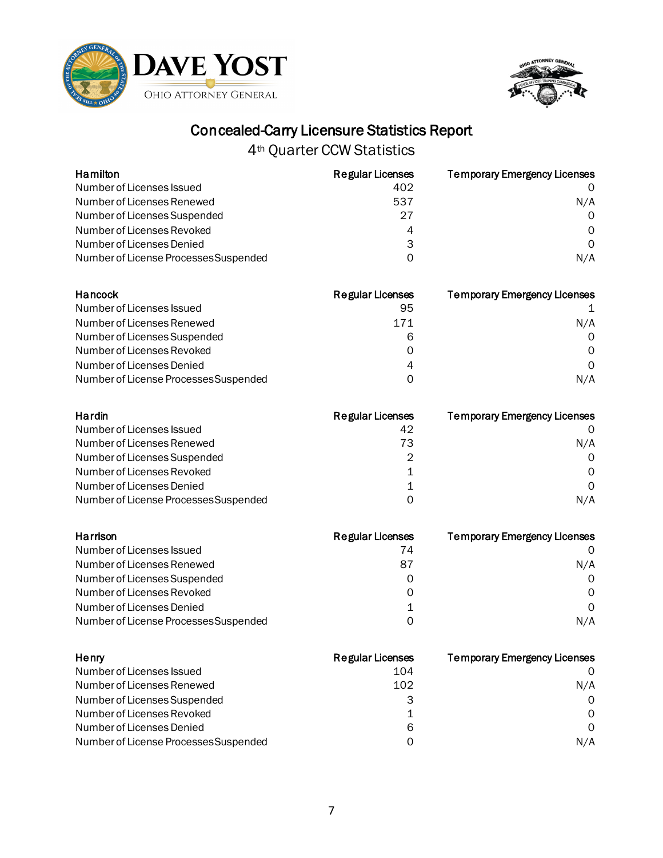



| Hamilton                              | <b>Regular Licenses</b> | <b>Temporary Emergency Licenses</b> |
|---------------------------------------|-------------------------|-------------------------------------|
| Number of Licenses Issued             | 402                     |                                     |
| Number of Licenses Renewed            | 537                     | N/A                                 |
| Number of Licenses Suspended          | 27                      | $\Omega$                            |
| Number of Licenses Revoked            | 4                       | $\Omega$                            |
| Number of Licenses Denied             | 3                       | $\Omega$                            |
| Number of License Processes Suspended | 0                       | N/A                                 |
| Hancock                               | <b>Padular Licences</b> | Tammranı Emardanov Licaneae         |

| Hancock                               | <b>Regular Licenses</b> | <b>Temporary Emergency Licenses</b> |
|---------------------------------------|-------------------------|-------------------------------------|
| Number of Licenses Issued             | 95                      |                                     |
| Number of Licenses Renewed            | 171                     | N/A                                 |
| Number of Licenses Suspended          | 6                       | $\Omega$                            |
| Number of Licenses Revoked            | Ω                       | $\Omega$                            |
| Number of Licenses Denied             | 4                       | $\Omega$                            |
| Number of License Processes Suspended | ი                       | N/A                                 |

| Hardin                                | Regular Licenses | <b>Temporary Emergency Licenses</b> |
|---------------------------------------|------------------|-------------------------------------|
| Number of Licenses Issued             | 42               |                                     |
| Number of Licenses Renewed            | 73               | N/A                                 |
| Number of Licenses Suspended          | 2                | $\Omega$                            |
| Number of Licenses Revoked            |                  | 0                                   |
| Number of Licenses Denied             | 1                | $\Omega$                            |
| Number of License Processes Suspended | ი                | N/A                                 |

| Harrison                              | <b>Regular Licenses</b> | <b>Temporary Emergency Licenses</b> |
|---------------------------------------|-------------------------|-------------------------------------|
| Number of Licenses Issued             | 74                      |                                     |
| Number of Licenses Renewed            | 87                      | N/A                                 |
| Number of Licenses Suspended          | O                       | $\Omega$                            |
| Number of Licenses Revoked            | O                       | 0                                   |
| Number of Licenses Denied             |                         | $\Omega$                            |
| Number of License Processes Suspended | ი                       | N/A                                 |

| Henry                                 | <b>Regular Licenses</b> | <b>Temporary Emergency Licenses</b> |
|---------------------------------------|-------------------------|-------------------------------------|
| Number of Licenses Issued             | 104                     |                                     |
| Number of Licenses Renewed            | 102                     | N/A                                 |
| Number of Licenses Suspended          | 3                       | $\Omega$                            |
| Number of Licenses Revoked            |                         | $\Omega$                            |
| Number of Licenses Denied             | 6                       | $\Omega$                            |
| Number of License Processes Suspended | ი                       | N/A                                 |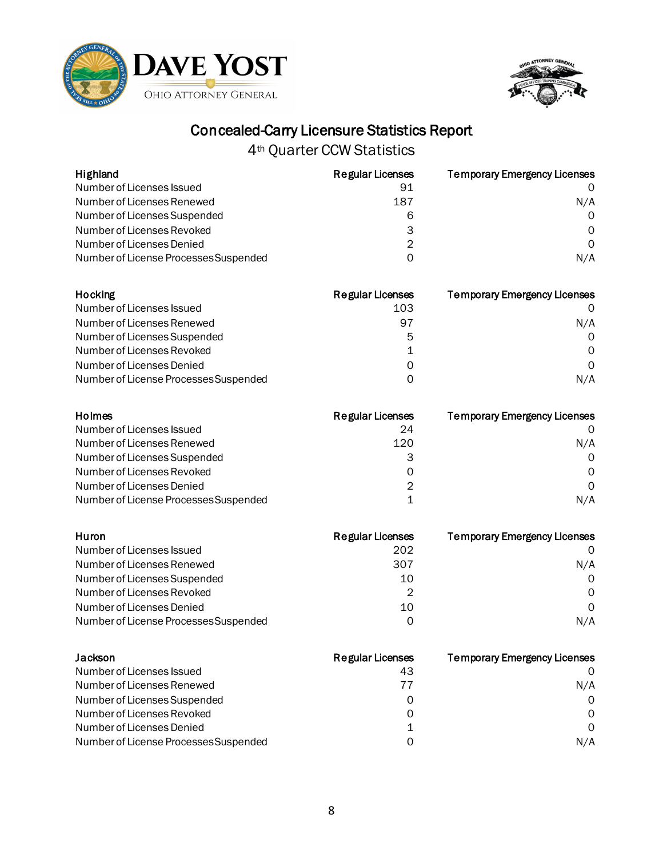



| Highland                              | <b>Regular Licenses</b> | <b>Temporary Emergency Licenses</b>                          |
|---------------------------------------|-------------------------|--------------------------------------------------------------|
| Number of Licenses Issued             | 91                      |                                                              |
| Number of Licenses Renewed            | 187                     | N/A                                                          |
| Number of Licenses Suspended          | 6                       | $\Omega$                                                     |
| Number of Licenses Revoked            | 3                       | $\Omega$                                                     |
| Number of Licenses Denied             | 2                       | $\Omega$                                                     |
| Number of License Processes Suspended | 0                       | N/A                                                          |
| the contractor of                     | Protocolouri de cuident | TE state and as a state Experimental and International state |

| Hocking                               | <b>Regular Licenses</b> | <b>Temporary Emergency Licenses</b> |
|---------------------------------------|-------------------------|-------------------------------------|
| Number of Licenses Issued             | 103                     |                                     |
| Number of Licenses Renewed            | 97                      | N/A                                 |
| Number of Licenses Suspended          | 5                       | $\Omega$                            |
| Number of Licenses Revoked            |                         | $\Omega$                            |
| Number of Licenses Denied             | Ω                       | $\Omega$                            |
| Number of License Processes Suspended |                         | N/A                                 |

| Holmes                                | Regular Licenses | <b>Temporary Emergency Licenses</b> |
|---------------------------------------|------------------|-------------------------------------|
| Number of Licenses Issued             | 24               |                                     |
| Number of Licenses Renewed            | 120              | N/A                                 |
| Number of Licenses Suspended          |                  | $\Omega$                            |
| Number of Licenses Revoked            | 0                | 0                                   |
| Number of Licenses Denied             | 2                | $\Omega$                            |
| Number of License Processes Suspended |                  | N/A                                 |

| Huron                                 | <b>Regular Licenses</b> | <b>Temporary Emergency Licenses</b> |
|---------------------------------------|-------------------------|-------------------------------------|
| Number of Licenses Issued             | 202                     |                                     |
| Number of Licenses Renewed            | 307                     | N/A                                 |
| Number of Licenses Suspended          | 10                      | $\Omega$                            |
| Number of Licenses Revoked            | 2                       | $\Omega$                            |
| Number of Licenses Denied             | 10                      | $\Omega$                            |
| Number of License Processes Suspended | Ω                       | N/A                                 |

| Jackson                               | <b>Regular Licenses</b> | <b>Temporary Emergency Licenses</b> |
|---------------------------------------|-------------------------|-------------------------------------|
| Number of Licenses Issued             | 43                      |                                     |
| Number of Licenses Renewed            | 77                      | N/A                                 |
| Number of Licenses Suspended          | 0                       | $\Omega$                            |
| Number of Licenses Revoked            | Ω                       | $\Omega$                            |
| Number of Licenses Denied             |                         | $\Omega$                            |
| Number of License Processes Suspended | ი                       | N/A                                 |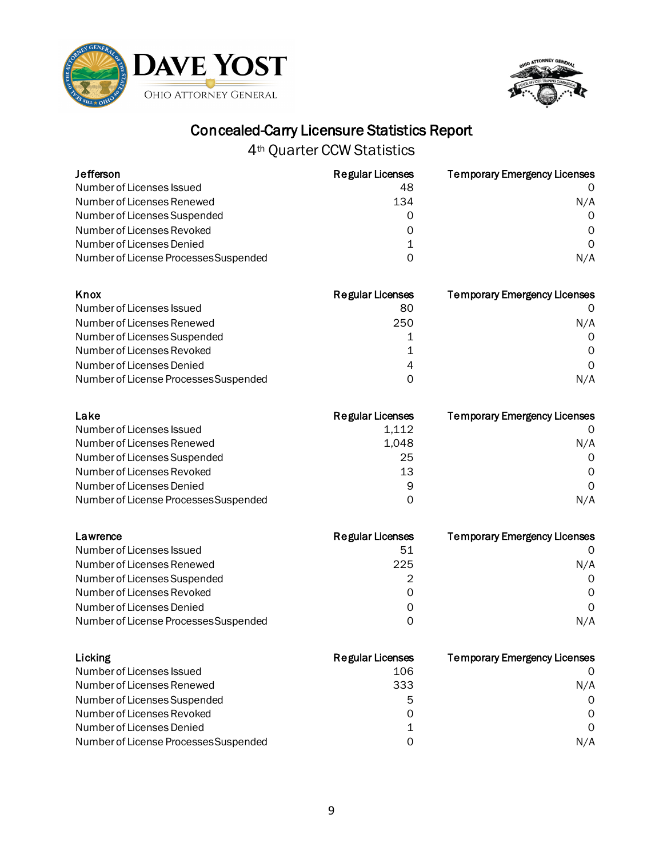



| <b>Jefferson</b>                      | <b>Regular Licenses</b> | <b>Temporary Emergency Licenses</b> |
|---------------------------------------|-------------------------|-------------------------------------|
| Number of Licenses Issued             | 48                      |                                     |
| Number of Licenses Renewed            | 134                     | N/A                                 |
| Number of Licenses Suspended          | O                       | $\Omega$                            |
| Number of Licenses Revoked            |                         | $\Omega$                            |
| Number of Licenses Denied             |                         | 0                                   |
| Number of License Processes Suspended |                         | N/A                                 |
| Knox                                  | <b>Regular Licenses</b> | <b>Temporary Emergency Licenses</b> |
| Number of Licenses Issued             |                         |                                     |
|                                       | 80                      |                                     |
| Number of Licenses Renewed            | 250                     | N/A                                 |
| Number of Licenses Suspended          |                         | $\Omega$                            |
| Number of Licenses Revoked            |                         | O                                   |
| Number of Licenses Denied             | 4                       | O                                   |

| Lake                                  | Regular Licenses | <b>Temporary Emergency Licenses</b> |
|---------------------------------------|------------------|-------------------------------------|
| Number of Licenses Issued             | 1,112            |                                     |
| Number of Licenses Renewed            | 1.048            | N/A                                 |
| Number of Licenses Suspended          | 25               | $\Omega$                            |
| Number of Licenses Revoked            | 13               | $\Omega$                            |
| Number of Licenses Denied             | 9                | $\Omega$                            |
| Number of License Processes Suspended | Ω                | N/A                                 |

| Lawrence                              | <b>Regular Licenses</b> | <b>Temporary Emergency Licenses</b> |
|---------------------------------------|-------------------------|-------------------------------------|
| Number of Licenses Issued             | 51                      |                                     |
| Number of Licenses Renewed            | 225                     | N/A                                 |
| Number of Licenses Suspended          | 2                       | $\Omega$                            |
| Number of Licenses Revoked            | $\Omega$                | 0                                   |
| Number of Licenses Denied             | Ω                       | $\Omega$                            |
| Number of License Processes Suspended | ი                       | N/A                                 |

| Licking                               | <b>Regular Licenses</b> | <b>Temporary Emergency Licenses</b> |
|---------------------------------------|-------------------------|-------------------------------------|
| Number of Licenses Issued             | 106                     |                                     |
| Number of Licenses Renewed            | 333                     | N/A                                 |
| Number of Licenses Suspended          | 5                       | $\Omega$                            |
| Number of Licenses Revoked            | 0                       | $\Omega$                            |
| Number of Licenses Denied             |                         | $\Omega$                            |
| Number of License Processes Suspended | Ω                       | N/A                                 |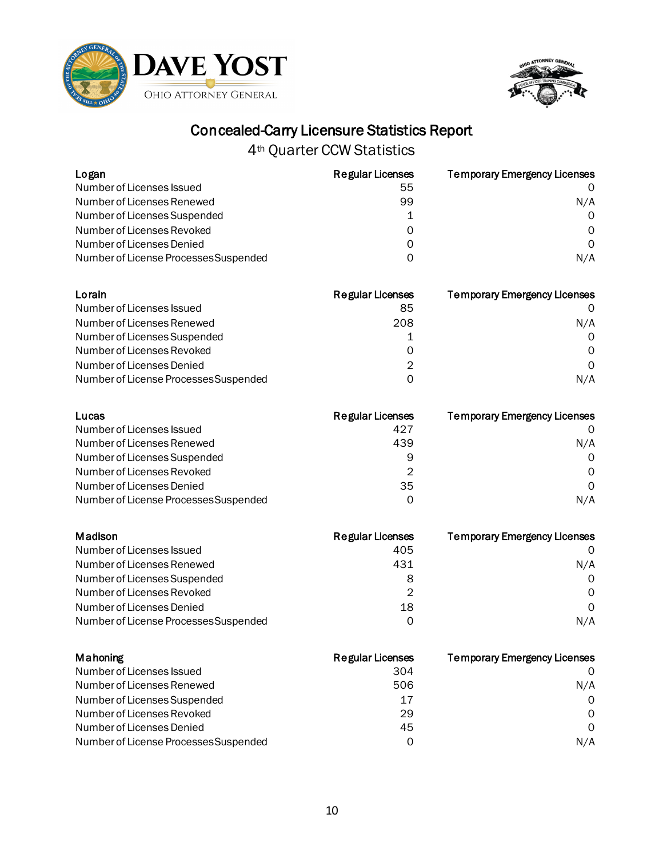



| Logan                                 | <b>Regular Licenses</b> | <b>Temporary Emergency Licenses</b> |
|---------------------------------------|-------------------------|-------------------------------------|
| Number of Licenses Issued             | 55                      |                                     |
| Number of Licenses Renewed            | 99                      | N/A                                 |
| Number of Licenses Suspended          |                         | O                                   |
| Number of Licenses Revoked            |                         | O                                   |
| Number of Licenses Denied             | O                       | 0                                   |
| Number of License Processes Suspended | O                       | N/A                                 |
| Lorain                                | <b>Regular Licenses</b> | <b>Temporary Emergency Licenses</b> |
| Number of Licenses Issued             | 85                      |                                     |
| Number of Licenses Renewed            | 208                     | N/A                                 |
| Number of Licenses Suspended          |                         | O                                   |
| Number of Licenses Revoked            |                         | O                                   |
| Number of Licenses Denied             | 2                       | $\Omega$                            |
| Number of License Processes Suspended | 0                       | N/A                                 |
|                                       |                         |                                     |

| Lucas                                 | <b>Regular Licenses</b> | <b>Temporary Emergency Licenses</b> |
|---------------------------------------|-------------------------|-------------------------------------|
| Number of Licenses Issued             | 427                     |                                     |
| Number of Licenses Renewed            | 439                     | N/A                                 |
| Number of Licenses Suspended          | 9                       | $\Omega$                            |
| Number of Licenses Revoked            | 2                       | $\Omega$                            |
| Number of Licenses Denied             | 35                      | $\Omega$                            |
| Number of License Processes Suspended | O                       | N/A                                 |

| Madison                               | <b>Regular Licenses</b> | <b>Temporary Emergency Licenses</b> |
|---------------------------------------|-------------------------|-------------------------------------|
| Number of Licenses Issued             | 405                     |                                     |
| Number of Licenses Renewed            | 431                     | N/A                                 |
| Number of Licenses Suspended          | 8                       | $\Omega$                            |
| Number of Licenses Revoked            | 2                       | $\Omega$                            |
| Number of Licenses Denied             | 18                      | $\Omega$                            |
| Number of License Processes Suspended | Ω                       | N/A                                 |

| Mahoning                              | <b>Regular Licenses</b> | <b>Temporary Emergency Licenses</b> |
|---------------------------------------|-------------------------|-------------------------------------|
| Number of Licenses Issued             | 304                     |                                     |
| Number of Licenses Renewed            | 506                     | N/A                                 |
| Number of Licenses Suspended          | 17                      | $\Omega$                            |
| Number of Licenses Revoked            | 29                      | $\Omega$                            |
| Number of Licenses Denied             | 45                      | $\Omega$                            |
| Number of License Processes Suspended | 0                       | N/A                                 |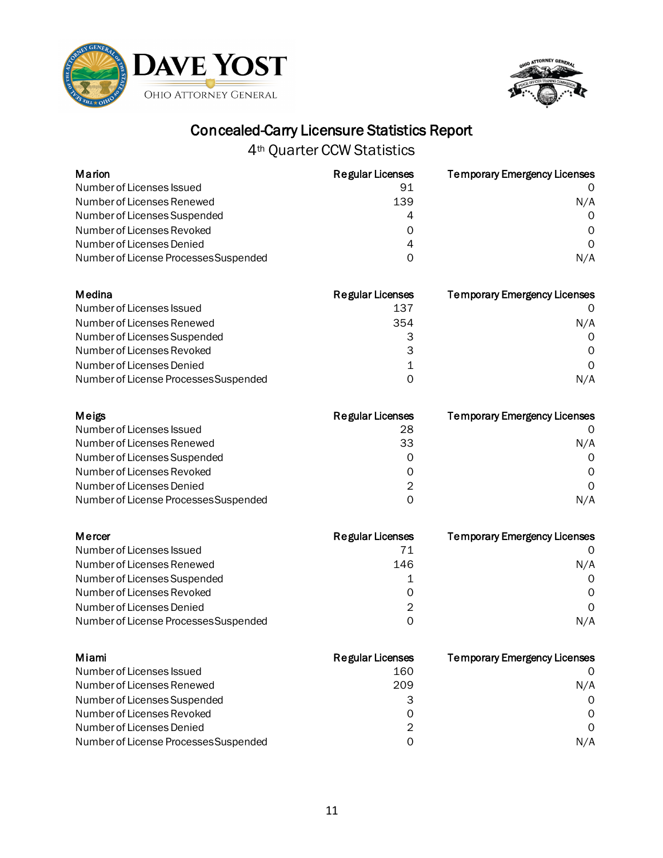



|                         | <b>Temporary Emergency Licenses</b> |
|-------------------------|-------------------------------------|
| 91                      |                                     |
| 139                     | N/A                                 |
| 4                       | $\Omega$                            |
| ი                       | O                                   |
|                         |                                     |
| 0                       | N/A                                 |
|                         |                                     |
| <b>Regular Licenses</b> | <b>Temporary Emergency Licenses</b> |
| 137                     |                                     |
| 354                     | N/A                                 |
| З                       | ∩                                   |
| 3                       | 0                                   |
|                         | 0                                   |
|                         | <b>Regular Licenses</b>             |

| Meigs                                 | Regular Licenses | <b>Temporary Emergency Licenses</b> |
|---------------------------------------|------------------|-------------------------------------|
| Number of Licenses Issued             | 28               |                                     |
| Number of Licenses Renewed            | 33               | N/A                                 |
| Number of Licenses Suspended          | Ω                | $\Omega$                            |
| Number of Licenses Revoked            | Ω                | 0                                   |
| Number of Licenses Denied             | 2                | $\Omega$                            |
| Number of License Processes Suspended | O                | N/A                                 |

| Mercer                                | <b>Regular Licenses</b> | <b>Temporary Emergency Licenses</b> |
|---------------------------------------|-------------------------|-------------------------------------|
| Number of Licenses Issued             | 71                      |                                     |
| Number of Licenses Renewed            | 146                     | N/A                                 |
| Number of Licenses Suspended          |                         | $\Omega$                            |
| Number of Licenses Revoked            | Ω                       | 0                                   |
| Number of Licenses Denied             | 2                       | $\Omega$                            |
| Number of License Processes Suspended | ი                       | N/A                                 |

| Miami                                 | <b>Regular Licenses</b> | <b>Temporary Emergency Licenses</b> |
|---------------------------------------|-------------------------|-------------------------------------|
| Number of Licenses Issued             | 160                     |                                     |
| Number of Licenses Renewed            | 209                     | N/A                                 |
| Number of Licenses Suspended          |                         | $\Omega$                            |
| Number of Licenses Revoked            | 0                       | $\Omega$                            |
| Number of Licenses Denied             | 2                       | $\Omega$                            |
| Number of License Processes Suspended | O                       | N/A                                 |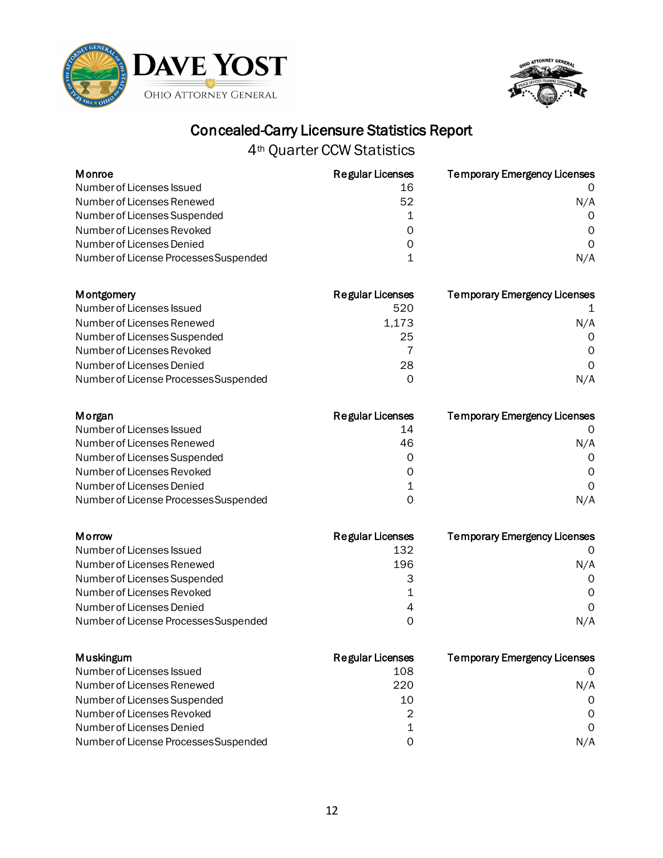



| Monroe                                | <b>Regular Licenses</b> | <b>Temporary Emergency Licenses</b> |
|---------------------------------------|-------------------------|-------------------------------------|
| Number of Licenses Issued             | 16                      |                                     |
| Number of Licenses Renewed            | 52                      | N/A                                 |
| Number of Licenses Suspended          |                         | $\Omega$                            |
| Number of Licenses Revoked            | 0                       | $\Omega$                            |
| Number of Licenses Denied             | 0                       | $\Omega$                            |
| Number of License Processes Suspended |                         | N/A                                 |

| <b>Montgomery</b>                     | <b>Regular Licenses</b> | <b>Temporary Emergency Licenses</b> |
|---------------------------------------|-------------------------|-------------------------------------|
| Number of Licenses Issued             | 520                     |                                     |
| Number of Licenses Renewed            | 1.173                   | N/A                                 |
| Number of Licenses Suspended          | 25                      | $\Omega$                            |
| Number of Licenses Revoked            |                         | $\Omega$                            |
| Number of Licenses Denied             | 28                      | $\Omega$                            |
| Number of License Processes Suspended | Ω                       | N/A                                 |

| Morgan                                | Regular Licenses | <b>Temporary Emergency Licenses</b> |
|---------------------------------------|------------------|-------------------------------------|
| Number of Licenses Issued             | 14               |                                     |
| Number of Licenses Renewed            | 46               | N/A                                 |
| Number of Licenses Suspended          | Ω                | $\Omega$                            |
| Number of Licenses Revoked            | 0                | 0                                   |
| Number of Licenses Denied             | 1                | $\Omega$                            |
| Number of License Processes Suspended | O                | N/A                                 |

| Morrow                                | <b>Regular Licenses</b> | <b>Temporary Emergency Licenses</b> |
|---------------------------------------|-------------------------|-------------------------------------|
| Number of Licenses Issued             | 132                     |                                     |
| Number of Licenses Renewed            | 196                     | N/A                                 |
| Number of Licenses Suspended          |                         | $\Omega$                            |
| Number of Licenses Revoked            |                         | 0                                   |
| Number of Licenses Denied             | 4                       | $\Omega$                            |
| Number of License Processes Suspended | O                       | N/A                                 |

| Muskingum                             | <b>Regular Licenses</b> | <b>Temporary Emergency Licenses</b> |
|---------------------------------------|-------------------------|-------------------------------------|
| Number of Licenses Issued             | 108                     |                                     |
| Number of Licenses Renewed            | 220                     | N/A                                 |
| Number of Licenses Suspended          | 10                      | $\Omega$                            |
| Number of Licenses Revoked            | 2                       | $\Omega$                            |
| Number of Licenses Denied             |                         | $\Omega$                            |
| Number of License Processes Suspended | ი                       | N/A                                 |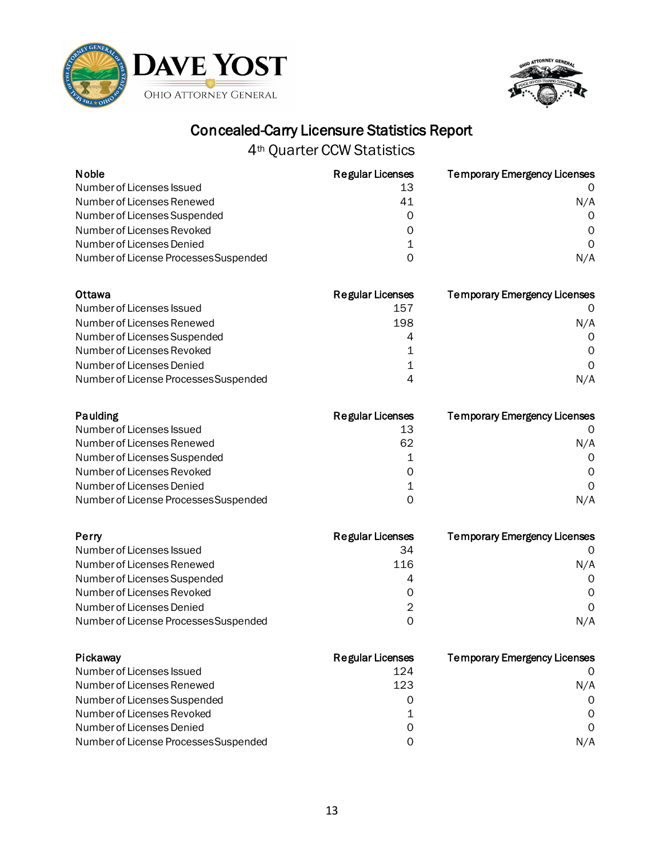



| <b>Noble</b>                          | <b>Regular Licenses</b> | <b>Temporary Emergency Licenses</b> |
|---------------------------------------|-------------------------|-------------------------------------|
| Number of Licenses Issued             | 13                      |                                     |
| Number of Licenses Renewed            | 41                      | N/A                                 |
| Number of Licenses Suspended          | 0                       | $\Omega$                            |
| Number of Licenses Revoked            | 0                       | $\Omega$                            |
| Number of Licenses Denied             | 1                       | $\Omega$                            |
| Number of License Processes Suspended | 0                       | N/A                                 |
| Ottawa                                | <b>Regular Licenses</b> | <b>Temporary Emergency Licenses</b> |
| Number of Licenses Issued             | 157                     |                                     |

| Number of Licenses Renewed            | 198 | N/A |
|---------------------------------------|-----|-----|
| Number of Licenses Suspended          | 4   |     |
| Number of Licenses Revoked            |     |     |
| Number of Licenses Denied             |     |     |
| Number of License Processes Suspended | Δ   | N/A |

| Paulding                              | Regular Licenses | <b>Temporary Emergency Licenses</b> |
|---------------------------------------|------------------|-------------------------------------|
| Number of Licenses Issued             | 13               |                                     |
| Number of Licenses Renewed            | 62               | N/A                                 |
| Number of Licenses Suspended          |                  | $\Omega$                            |
| Number of Licenses Revoked            | 0                | 0                                   |
| Number of Licenses Denied             | 1                | $\Omega$                            |
| Number of License Processes Suspended | ი                | N/A                                 |

| Perry                                 | <b>Regular Licenses</b> | <b>Temporary Emergency Licenses</b> |
|---------------------------------------|-------------------------|-------------------------------------|
| Number of Licenses Issued             | 34                      |                                     |
| Number of Licenses Renewed            | 116                     | N/A                                 |
| Number of Licenses Suspended          | 4                       | $\Omega$                            |
| Number of Licenses Revoked            | O                       | 0                                   |
| Number of Licenses Denied             | 2                       | $\Omega$                            |
| Number of License Processes Suspended | ი                       | N/A                                 |

| Pickaway                              | <b>Regular Licenses</b> | <b>Temporary Emergency Licenses</b> |
|---------------------------------------|-------------------------|-------------------------------------|
| Number of Licenses Issued             | 124                     |                                     |
| Number of Licenses Renewed            | 123                     | N/A                                 |
| Number of Licenses Suspended          | O                       | $\Omega$                            |
| Number of Licenses Revoked            |                         | $\Omega$                            |
| Number of Licenses Denied             | Ω                       | $\Omega$                            |
| Number of License Processes Suspended | ი                       | N/A                                 |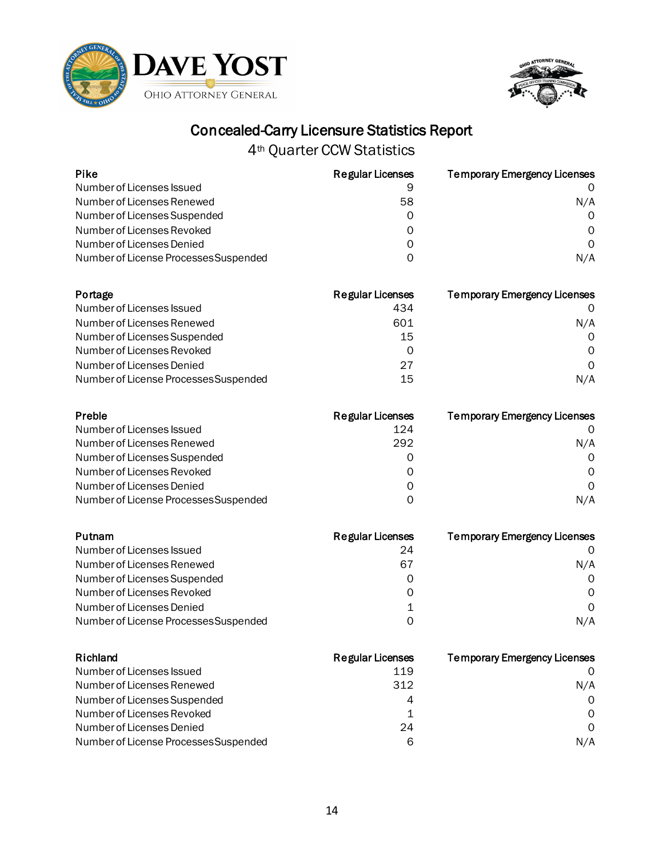



| <b>Pike</b>                           | <b>Regular Licenses</b> | <b>Temporary Emergency Licenses</b> |
|---------------------------------------|-------------------------|-------------------------------------|
| Number of Licenses Issued             | 9                       | O                                   |
| Number of Licenses Renewed            | 58                      | N/A                                 |
| Number of Licenses Suspended          | 0                       | 0                                   |
| Number of Licenses Revoked            | 0                       | 0                                   |
| Number of Licenses Denied             | 0                       | $\Omega$                            |
| Number of License Processes Suspended | 0                       | N/A                                 |
|                                       |                         |                                     |
| Portage                               | <b>Regular Licenses</b> | <b>Temporary Emergency Licenses</b> |
| Number of Licenses Issued             | 434                     | 0                                   |
| Number of Licenses Renewed            | 601                     | N/A                                 |
| Number of Licenses Suspended          | 15                      | 0                                   |
| Number of Licenses Revoked            | 0                       | Ω                                   |
| Number of Licenses Denied             | 27                      | 0                                   |
| Number of License Processes Suspended | 15                      | N/A                                 |
| Preble                                | <b>Regular Licenses</b> | <b>Temporary Emergency Licenses</b> |
| Number of Licenses Issued             | 124                     | 0                                   |
| Number of Licenses Renewed            | 292                     | N/A                                 |
| Number of Licenses Suspended          | 0                       | 0                                   |
| Number of Licenses Revoked            | 0                       | 0                                   |
| Number of Licenses Denied             | 0                       | $\Omega$                            |
| Number of License Processes Suspended | 0                       | N/A                                 |
| Putnam                                | <b>Regular Licenses</b> | <b>Temporary Emergency Licenses</b> |
| Number of Licenses Issued             | 24                      | 0                                   |
| Number of Licenses Renewed            | 67                      | N/A                                 |
| Number of Licenses Suspended          | 0                       | 0                                   |
| Number of Licenses Revoked            | 0                       | Ω                                   |
| Number of Licenses Denied             | 1                       | 0                                   |
| Number of License Processes Suspended | 0                       | N/A                                 |
| Richland                              | <b>Regular Licenses</b> | <b>Temporary Emergency Licenses</b> |
| Number of Licenses Issued             | 119                     | O                                   |
| Number of Licenses Renewed            | 312                     | N/A                                 |
| Number of Licenses Suspended          | 4                       | 0                                   |
| Number of Licenses Revoked            | 1                       | 0                                   |
| Number of Licenses Denied             | 24                      | 0                                   |
| Number of License Processes Suspended | 6                       | N/A                                 |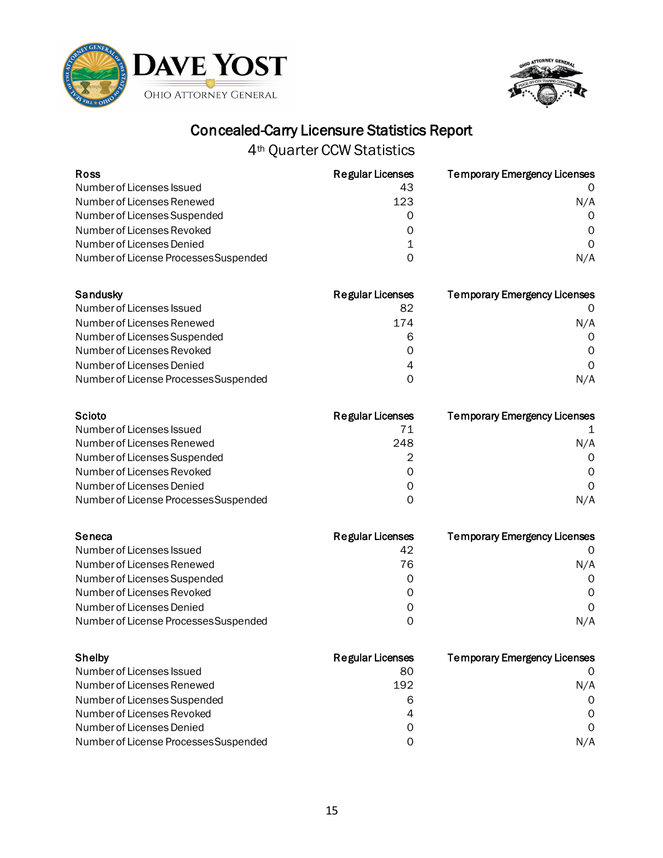



| <b>Ross</b>                           | <b>Regular Licenses</b> | <b>Temporary Emergency Licenses</b> |
|---------------------------------------|-------------------------|-------------------------------------|
| Number of Licenses Issued             | 43                      |                                     |
| Number of Licenses Renewed            | 123                     | N/A                                 |
| Number of Licenses Suspended          | 0                       | $\Omega$                            |
| Number of Licenses Revoked            | 0                       | 0                                   |
| Number of Licenses Denied             | 1                       | $\Omega$                            |
| Number of License Processes Suspended | 0                       | N/A                                 |
| Sandusky                              | <b>Regular Licenses</b> | <b>Temporary Emergency Licenses</b> |
| Number of Licenses Issued             | 82                      |                                     |
| Number of Licenses Renewed            | 174                     | N/A                                 |
| Number of Licenses Suspended          | 6                       | $\Omega$                            |
| Number of Licenses Revoked            | 0                       | 0                                   |
| Number of Licenses Denied             | 4                       | $\Omega$                            |
| Number of License Processes Suspended | 0                       | N/A                                 |
| Scioto                                | <b>Regular Licenses</b> | <b>Temporary Emergency Licenses</b> |
| Number of Licenses Issued             | 71                      |                                     |
| Number of Licenses Renewed            | 248                     | N/A                                 |
| Number of Licenses Suspended          | 2                       | 0                                   |
| Number of Licenses Revoked            | 0                       | 0                                   |
| Number of Licenses Denied             | 0                       | $\Omega$                            |
| Number of License Processes Suspended | 0                       | N/A                                 |
| Seneca                                | <b>Regular Licenses</b> | <b>Temporary Emergency Licenses</b> |
| Number of Licenses Issued             | 42                      |                                     |
| Number of Licenses Renewed            | 76                      | N/A                                 |

| Number of Licenses Suspended          |     |
|---------------------------------------|-----|
| Number of Licenses Revoked            |     |
| Number of Licenses Denied             |     |
| Number of License Processes Suspended | N/A |
|                                       |     |

| Shelby                                | <b>Regular Licenses</b> | <b>Temporary Emergency Licenses</b> |
|---------------------------------------|-------------------------|-------------------------------------|
| Number of Licenses Issued             | 80                      |                                     |
| Number of Licenses Renewed            | 192                     | N/A                                 |
| Number of Licenses Suspended          | 6                       | $\Omega$                            |
| Number of Licenses Revoked            | 4                       | $\Omega$                            |
| Number of Licenses Denied             | Ω                       | $\Omega$                            |
| Number of License Processes Suspended | ი                       | N/A                                 |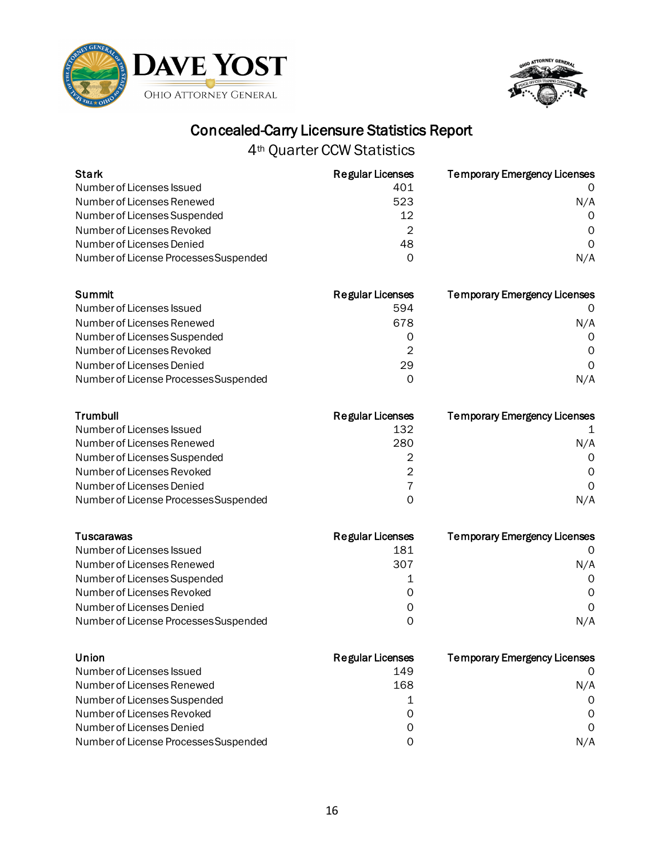



| <b>Stark</b>                          | <b>Regular Licenses</b> | <b>Temporary Emergency Licenses</b> |
|---------------------------------------|-------------------------|-------------------------------------|
| Number of Licenses Issued             | 401                     |                                     |
| Number of Licenses Renewed            | 523                     | N/A                                 |
| Number of Licenses Suspended          | 12                      | $\Omega$                            |
| Number of Licenses Revoked            | $\mathfrak{D}$          | O                                   |
| Number of Licenses Denied             | 48                      | 0                                   |
| Number of License Processes Suspended | $\Omega$                | N/A                                 |
| <b>Summit</b>                         | <b>Regular Licenses</b> | <b>Temporary Emergency Licenses</b> |
| Number of Licenses Issued             | 594                     | 0                                   |
| Number of Licenses Renewed            | 678                     | N/A                                 |
| Number of Licenses Suspended          | $\Omega$                | $\Omega$                            |
| Number of Licenses Revoked            | 2                       | $\Omega$                            |
| Number of Licenses Denied             | 29                      | 0                                   |
| Number of License Processes Suspended | 0                       | N/A                                 |
| Trumbull                              | <b>Regular Licenses</b> | <b>Temporary Emergency Licenses</b> |
| Number of Licenses Issued             | 132                     |                                     |
| Number of Licenses Renewed            | 280                     | N/A                                 |
| Number of Licenses Suspended          | 2                       | $\Omega$                            |
| Number of Licenses Revoked            | 2                       | $\Omega$                            |
| Number of Licenses Denied             | 7                       | $\Omega$                            |
| Number of License Processes Suspended | 0                       | N/A                                 |
| <b>Tuscarawas</b>                     | <b>Regular Licenses</b> | <b>Temporary Emergency Licenses</b> |
| Number of Licenses Issued             | 181                     | 0                                   |

| 1 y 3691 61 was                       | <b>ING KURI LIVGIBGO</b> | <b>Temporary Emergency Elderises</b> |
|---------------------------------------|--------------------------|--------------------------------------|
| Number of Licenses Issued             | 181                      | $\Omega$                             |
| Number of Licenses Renewed            | 307                      | N/A                                  |
| Number of Licenses Suspended          |                          | $\Omega$                             |
| Number of Licenses Revoked            | 0                        | $\Omega$                             |
| Number of Licenses Denied             | 0                        | $\Omega$                             |
| Number of License Processes Suspended | Ω                        | N/A                                  |
|                                       |                          |                                      |

| Union                                 | Regular Licenses | <b>Temporary Emergency Licenses</b> |
|---------------------------------------|------------------|-------------------------------------|
| Number of Licenses Issued             | 149              |                                     |
| Number of Licenses Renewed            | 168              | N/A                                 |
| Number of Licenses Suspended          |                  | $\Omega$                            |
| Number of Licenses Revoked            | 0                | $\Omega$                            |
| Number of Licenses Denied             | 0                | $\Omega$                            |
| Number of License Processes Suspended | ი                | N/A                                 |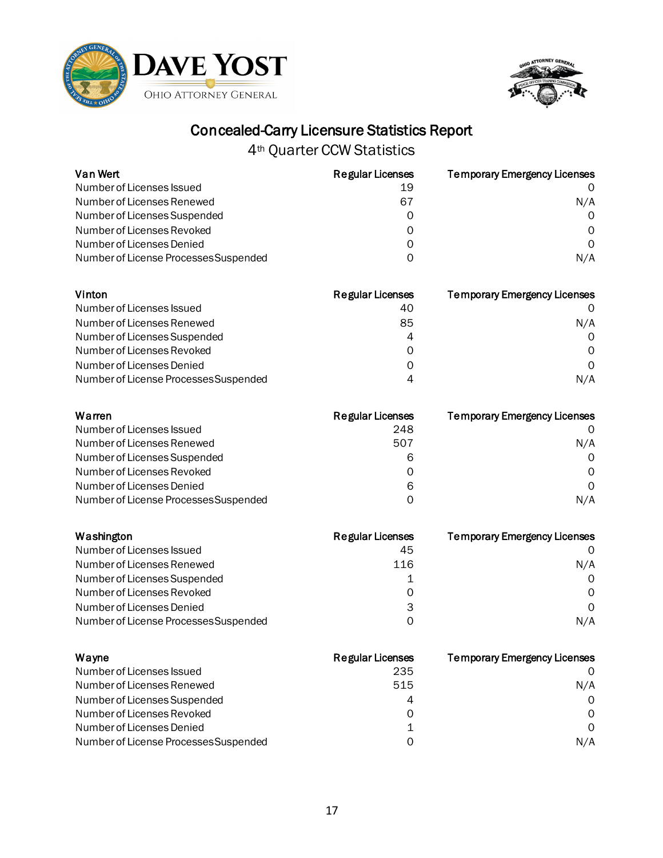



| Van Wert                              | <b>Regular Licenses</b> | <b>Temporary Emergency Licenses</b> |
|---------------------------------------|-------------------------|-------------------------------------|
| Number of Licenses Issued             | 19                      | 0                                   |
| Number of Licenses Renewed            | 67                      | N/A                                 |
| Number of Licenses Suspended          | 0                       | 0                                   |
| Number of Licenses Revoked            | 0                       | 0                                   |
| Number of Licenses Denied             | 0                       | 0                                   |
| Number of License Processes Suspended | 0                       | N/A                                 |
| Vinton                                | <b>Regular Licenses</b> | <b>Temporary Emergency Licenses</b> |
| Number of Licenses Issued             | 40                      | O                                   |
| Number of Licenses Renewed            | 85                      | N/A                                 |
| Number of Licenses Suspended          | 4                       | 0                                   |
| Number of Licenses Revoked            | 0                       | Ω                                   |
| Number of Licenses Denied             | 0                       | 0                                   |
| Number of License Processes Suspended | 4                       | N/A                                 |
| Warren                                | <b>Regular Licenses</b> | <b>Temporary Emergency Licenses</b> |
| Number of Licenses Issued             | 248                     | O                                   |
| Number of Licenses Renewed            | 507                     | N/A                                 |
| Number of Licenses Suspended          | 6                       | 0                                   |
| Number of Licenses Revoked            | 0                       | 0                                   |
| Number of Licenses Denied             | 6                       | $\Omega$                            |
| Number of License Processes Suspended | 0                       | N/A                                 |
| Washington                            | <b>Regular Licenses</b> | <b>Temporary Emergency Licenses</b> |
| Number of Licenses Issued             | 45                      | 0                                   |
| Number of Licenses Renewed            | 116                     | N/A                                 |
| Number of Licenses Suspended          | 1                       | 0                                   |
| Number of Licenses Revoked            | 0                       | 0                                   |
| Number of Licenses Denied             | 3                       | 0                                   |
| Number of License Processes Suspended | 0                       | N/A                                 |
| Wayne                                 | <b>Regular Licenses</b> | <b>Temporary Emergency Licenses</b> |
| Number of Licenses Issued             | 235                     | O                                   |
| Number of Licenses Renewed            | 515                     | N/A                                 |
| Number of Licenses Suspended          | 4                       | 0                                   |
| Number of Licenses Revoked            | 0                       | $\Omega$                            |
| Number of Licenses Denied             | 1                       | 0                                   |
| Number of License Processes Suspended | 0                       | N/A                                 |